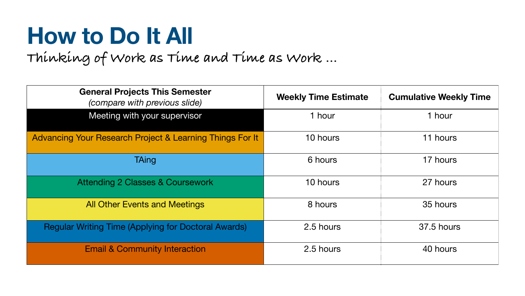# **How to Do It All Thinking of Work as Time and Time as Work …**

**General Projects This Semester**  *(compare with previous slide)* 

Meeting with your supervisor

Advancing Your Research Project & Learning Things For

Attending 2 Classes & Coursework

All Other Events and Meetings

Regular Writing Time (Applying for Doctoral Awards)

**Email & Community Interaction** 

| <b>ects This Semester</b><br>ith previous slide) | <b>Weekly Time Estimate</b> | <b>Cumulative Weekly Time</b> |
|--------------------------------------------------|-----------------------------|-------------------------------|
| h your supervisor                                | 1 hour                      | 1 hour                        |
| <b>Project &amp; Learning Things For It</b>      | 10 hours                    | 11 hours                      |
| <b>TAing</b>                                     | 6 hours                     | 17 hours                      |
| asses & Coursework                               | 10 hours                    | 27 hours                      |
| ents and Meetings                                | 8 hours                     | 35 hours                      |
| <b>pplying for Doctoral Awards)</b>              | 2.5 hours                   | <b>37.5 hours</b>             |
| <b>munity Interaction</b>                        | 2.5 hours                   | 40 hours                      |

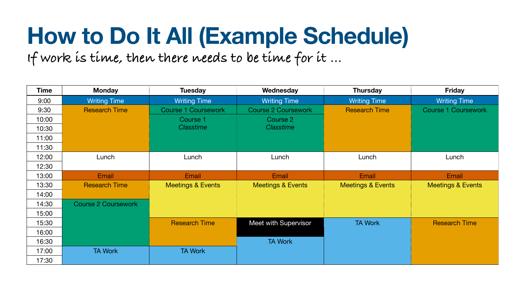## **How to Do It All (Example Schedule) If work is time, then there needs to be time for it …**

| <b>Time</b> | <b>Monday</b>              | <b>Tuesday</b>               | Wednesday                    | <b>Thursday</b>              | <b>Friday</b>                |
|-------------|----------------------------|------------------------------|------------------------------|------------------------------|------------------------------|
| 9:00        | <b>Writing Time</b>        | <b>Writing Time</b>          | <b>Writing Time</b>          | <b>Writing Time</b>          | <b>Writing Time</b>          |
| 9:30        | <b>Research Time</b>       | Course 1 Coursework          | Course 2 Coursework          | <b>Research Time</b>         | <b>Course 1 Coursework</b>   |
| 10:00       |                            | Course 1                     | Course 2                     |                              |                              |
| 10:30       |                            | Classtime                    | <b>Classtime</b>             |                              |                              |
| 11:00       |                            |                              |                              |                              |                              |
| 11:30       |                            |                              |                              |                              |                              |
| 12:00       | Lunch                      | Lunch                        | Lunch                        | Lunch                        | Lunch                        |
| 12:30       |                            |                              |                              |                              |                              |
| 13:00       | Email                      | Email                        | Email                        | Email                        | Email                        |
| 13:30       | <b>Research Time</b>       | <b>Meetings &amp; Events</b> | <b>Meetings &amp; Events</b> | <b>Meetings &amp; Events</b> | <b>Meetings &amp; Events</b> |
| 14:00       |                            |                              |                              |                              |                              |
| 14:30       | <b>Course 2 Coursework</b> |                              |                              |                              |                              |
| 15:00       |                            |                              |                              |                              |                              |
| 15:30       |                            | <b>Research Time</b>         | Meet with Supervisor         | <b>TA Work</b>               | <b>Research Time</b>         |
| 16:00       |                            |                              |                              |                              |                              |
| 16:30       |                            |                              | <b>TA Work</b>               |                              |                              |
| 17:00       | <b>TA Work</b>             | <b>TA Work</b>               |                              |                              |                              |
| 17:30       |                            |                              |                              |                              |                              |

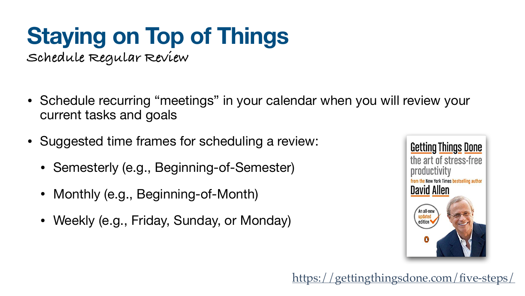## **Staying on Top of Things Schedule Regular Review**

#### • Schedule recurring "meetings" in your calendar when you will review your



- current tasks and goals
- Suggested time frames for scheduling a review:
	- Semesterly (e.g., Beginning-of-Semester)
	- Monthly (e.g., Beginning-of-Month)
	- Weekly (e.g., Friday, Sunday, or Monday)



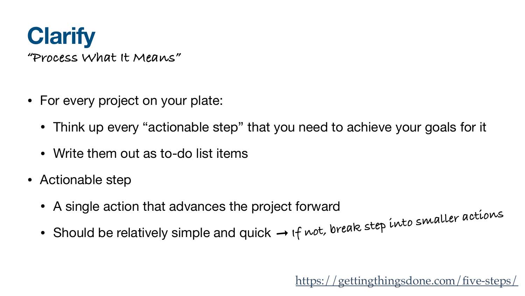

- For every project on your plate:
	- Think up every "actionable step" that you need to achieve your goals for it
	- Write them out as to-do list items
- Actionable step
	- A single action that advances the project forward
	- Should be relatively simple and quick ➞ **If not, break step into smaller actions**

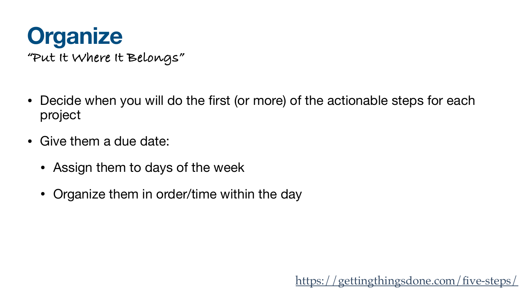### **Organize "Put It Where It Belongs"**

- project
- Give them a due date:
	- Assign them to days of the week
	- Organize them in order/time within the day

• Decide when you will do the first (or more) of the actionable steps for each

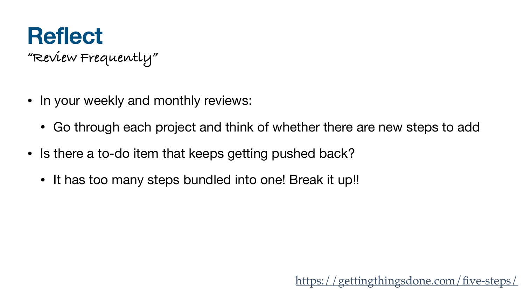## **Reflect "Review Frequently"**

- In your weekly and monthly reviews:
	- Go through each project and think of whether there are new steps to add
- Is there a to-do item that keeps getting pushed back?
	- It has too many steps bundled into one! Break it up!!